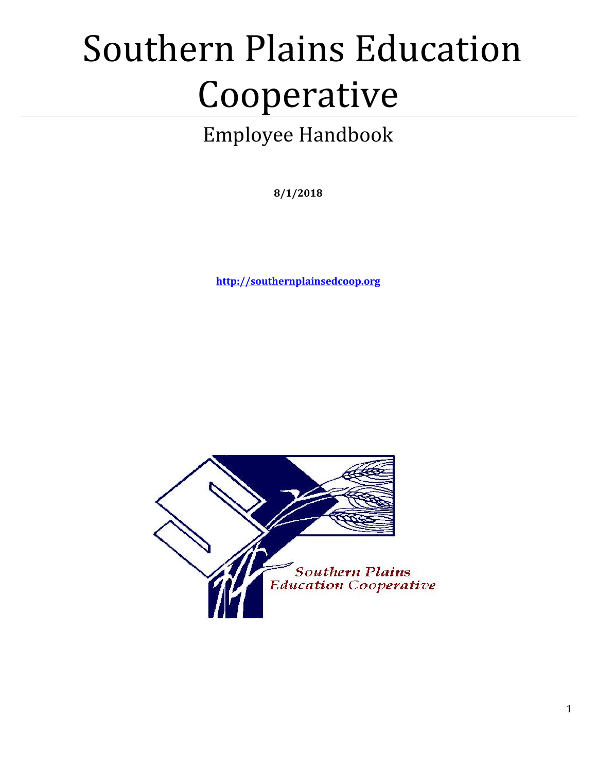# Southern Plains Education Cooperative

# Employee Handbook

**8/1/2018**

**[http://southernplainsedcoop.org](http://southernplainsedcoop.org/)**

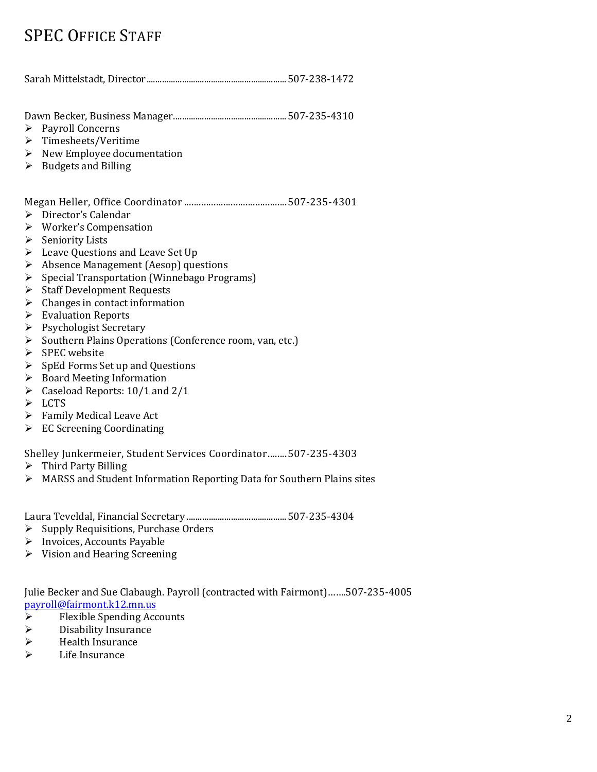# SPEC OFFICE STAFF

Sarah Mittelstadt, Director...............................................................507-238-1472

Dawn Becker, Business Manager...................................................507-235-4310

- ▶ Payroll Concerns
- Timesheets/Veritime
- $\triangleright$  New Employee documentation
- $\triangleright$  Budgets and Billing

Megan Heller, Office Coordinator ..........................................507-235-4301

- > Director's Calendar
- Worker's Compensation
- $\triangleright$  Seniority Lists
- Eeave Questions and Leave Set Up
- Absence Management (Aesop) questions
- Special Transportation (Winnebago Programs)
- $\triangleright$  Staff Development Requests
- $\triangleright$  Changes in contact information
- $\triangleright$  Evaluation Reports
- $\triangleright$  Psychologist Secretary
- $\triangleright$  Southern Plains Operations (Conference room, van, etc.)
- $\triangleright$  SPEC website
- $\triangleright$  SpEd Forms Set up and Questions
- $\triangleright$  Board Meeting Information
- $\triangleright$  Caseload Reports: 10/1 and 2/1
- > LCTS
- $\triangleright$  Family Medical Leave Act
- EC Screening Coordinating

Shelley Junkermeier, Student Services Coordinator........507-235-4303

- $\triangleright$  Third Party Billing
- MARSS and Student Information Reporting Data for Southern Plains sites

Laura Teveldal, Financial Secretary .............................................507-235-4304

- $\triangleright$  Supply Requisitions, Purchase Orders
- > Invoices, Accounts Payable
- $\triangleright$  Vision and Hearing Screening

Julie Becker and Sue Clabaugh. Payroll (contracted with Fairmont)…….507-235-4005 [payroll@fairmont.k12.mn.us](mailto:payroll@fairmont.k12.mn.us)

- $\triangleright$  Flexible Spending Accounts
- Disability Insurance
- $\triangleright$  Health Insurance
- Life Insurance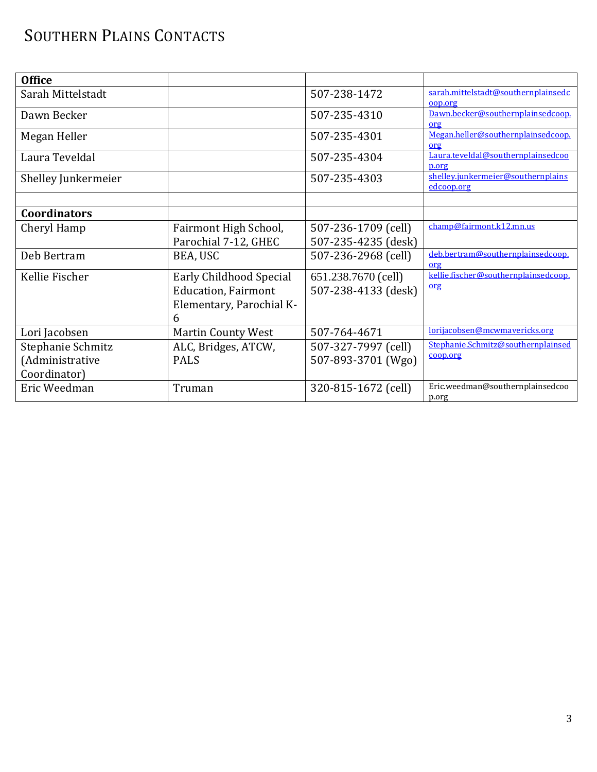# SOUTHERN PLAINS CONTACTS

| <b>Office</b>       |                            |                     |                                                  |
|---------------------|----------------------------|---------------------|--------------------------------------------------|
| Sarah Mittelstadt   |                            | 507-238-1472        | sarah.mittelstadt@southernplainsedc<br>00D.OPE   |
| Dawn Becker         |                            | 507-235-4310        | Dawn.becker@southernplainsedcoop.<br>org         |
| Megan Heller        |                            | 507-235-4301        | Megan.heller@southernplainsedcoop.<br>org        |
| Laura Teveldal      |                            | 507-235-4304        | Laura.teveldal@southernplainsedcoo<br>p.org      |
| Shelley Junkermeier |                            | 507-235-4303        | shellev.junkermeier@southernplains<br>edcoop.org |
|                     |                            |                     |                                                  |
| <b>Coordinators</b> |                            |                     |                                                  |
| Cheryl Hamp         | Fairmont High School,      | 507-236-1709 (cell) | champ@fairmont.k12.mn.us                         |
|                     | Parochial 7-12, GHEC       | 507-235-4235 (desk) |                                                  |
| Deb Bertram         | BEA, USC                   | 507-236-2968 (cell) | deb.bertram@southernplainsedcoop.<br>org         |
| Kellie Fischer      | Early Childhood Special    | 651.238.7670 (cell) | kellie.fischer@southernplainsedcoop.             |
|                     | <b>Education, Fairmont</b> | 507-238-4133 (desk) | org                                              |
|                     | Elementary, Parochial K-   |                     |                                                  |
|                     | 6                          |                     | lorijacobsen@mcwmavericks.org                    |
| Lori Jacobsen       | <b>Martin County West</b>  | 507-764-4671        | Stephanie.Schmitz@southernplainsed               |
| Stephanie Schmitz   | ALC, Bridges, ATCW,        | 507-327-7997 (cell) | coop.org                                         |
| (Administrative     | <b>PALS</b>                | 507-893-3701 (Wgo)  |                                                  |
| Coordinator)        |                            |                     |                                                  |
| Eric Weedman        | Truman                     | 320-815-1672 (cell) | Eric.weedman@southernplainsedcoo<br>p.org        |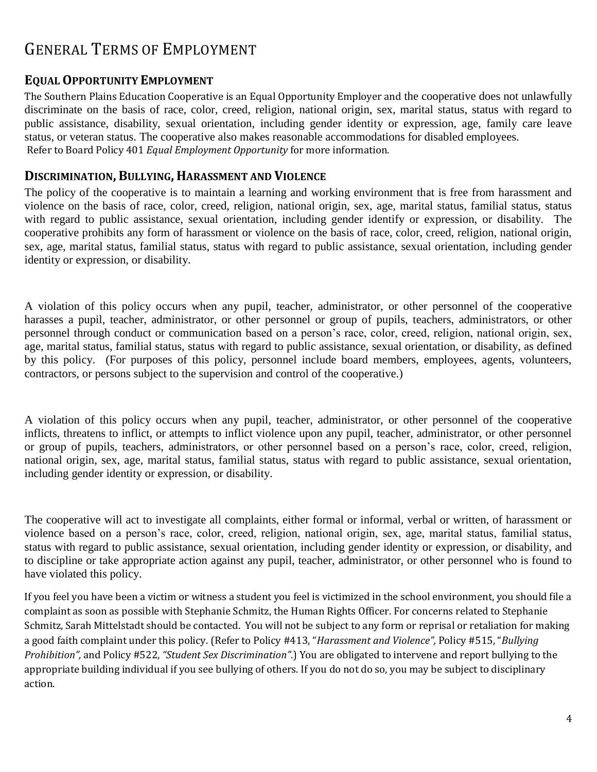# GENERAL TERMS OF EMPLOYMENT

#### **EQUAL OPPORTUNITY EMPLOYMENT**

The Southern Plains Education Cooperative is an Equal Opportunity Employer and the cooperative does not unlawfully discriminate on the basis of race, color, creed, religion, national origin, sex, marital status, status with regard to public assistance, disability, sexual orientation, including gender identity or expression, age, family care leave status, or veteran status. The cooperative also makes reasonable accommodations for disabled employees. Refer to Board Policy 401 *Equal Employment Opportunity* for more information.

#### **DISCRIMINATION, BULLYING, HARASSMENT AND VIOLENCE**

The policy of the cooperative is to maintain a learning and working environment that is free from harassment and violence on the basis of race, color, creed, religion, national origin, sex, age, marital status, familial status, status with regard to public assistance, sexual orientation, including gender identify or expression, or disability. The cooperative prohibits any form of harassment or violence on the basis of race, color, creed, religion, national origin, sex, age, marital status, familial status, status with regard to public assistance, sexual orientation, including gender identity or expression, or disability.

A violation of this policy occurs when any pupil, teacher, administrator, or other personnel of the cooperative harasses a pupil, teacher, administrator, or other personnel or group of pupils, teachers, administrators, or other personnel through conduct or communication based on a person's race, color, creed, religion, national origin, sex, age, marital status, familial status, status with regard to public assistance, sexual orientation, or disability, as defined by this policy. (For purposes of this policy, personnel include board members, employees, agents, volunteers, contractors, or persons subject to the supervision and control of the cooperative.)

A violation of this policy occurs when any pupil, teacher, administrator, or other personnel of the cooperative inflicts, threatens to inflict, or attempts to inflict violence upon any pupil, teacher, administrator, or other personnel or group of pupils, teachers, administrators, or other personnel based on a person's race, color, creed, religion, national origin, sex, age, marital status, familial status, status with regard to public assistance, sexual orientation, including gender identity or expression, or disability.

The cooperative will act to investigate all complaints, either formal or informal, verbal or written, of harassment or violence based on a person's race, color, creed, religion, national origin, sex, age, marital status, familial status, status with regard to public assistance, sexual orientation, including gender identity or expression, or disability, and to discipline or take appropriate action against any pupil, teacher, administrator, or other personnel who is found to have violated this policy.

If you feel you have been a victim or witness a student you feel is victimized in the school environment, you should file a complaint as soon as possible with Stephanie Schmitz, the Human Rights Officer. For concerns related to Stephanie Schmitz, Sarah Mittelstadt should be contacted. You will not be subject to any form or reprisal or retaliation for making a good faith complaint under this policy. (Refer to Policy #413, "*Harassment and Violence",* Policy #515, "*Bullying Prohibition",* and Policy #522, *"Student Sex Discrimination"*.) You are obligated to intervene and report bullying to the appropriate building individual if you see bullying of others. If you do not do so, you may be subject to disciplinary action.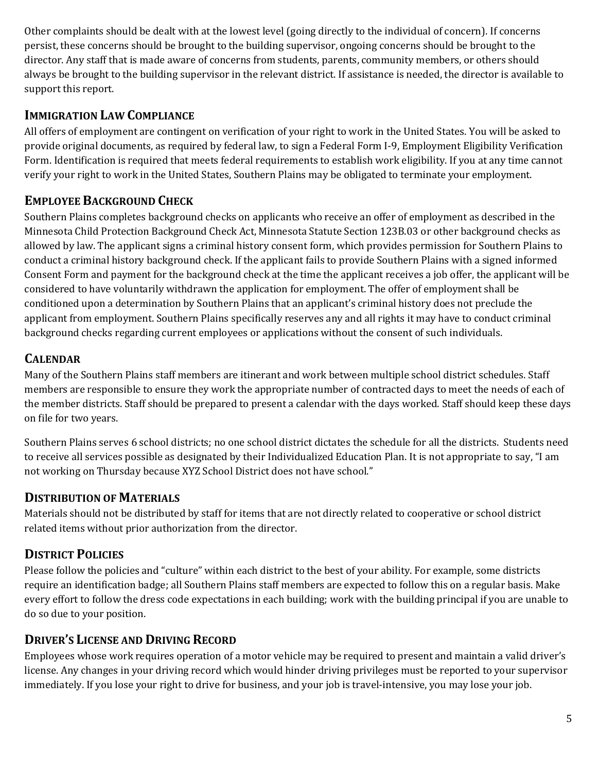Other complaints should be dealt with at the lowest level (going directly to the individual of concern). If concerns persist, these concerns should be brought to the building supervisor, ongoing concerns should be brought to the director. Any staff that is made aware of concerns from students, parents, community members, or others should always be brought to the building supervisor in the relevant district. If assistance is needed, the director is available to support this report.

#### **IMMIGRATION LAW COMPLIANCE**

All offers of employment are contingent on verification of your right to work in the United States. You will be asked to provide original documents, as required by federal law, to sign a Federal Form I-9, Employment Eligibility Verification Form. Identification is required that meets federal requirements to establish work eligibility. If you at any time cannot verify your right to work in the United States, Southern Plains may be obligated to terminate your employment.

## **EMPLOYEE BACKGROUND CHECK**

Southern Plains completes background checks on applicants who receive an offer of employment as described in the Minnesota Child Protection Background Check Act, Minnesota Statute Section 123B.03 or other background checks as allowed by law. The applicant signs a criminal history consent form, which provides permission for Southern Plains to conduct a criminal history background check. If the applicant fails to provide Southern Plains with a signed informed Consent Form and payment for the background check at the time the applicant receives a job offer, the applicant will be considered to have voluntarily withdrawn the application for employment. The offer of employment shall be conditioned upon a determination by Southern Plains that an applicant's criminal history does not preclude the applicant from employment. Southern Plains specifically reserves any and all rights it may have to conduct criminal background checks regarding current employees or applications without the consent of such individuals.

#### **CALENDAR**

Many of the Southern Plains staff members are itinerant and work between multiple school district schedules. Staff members are responsible to ensure they work the appropriate number of contracted days to meet the needs of each of the member districts. Staff should be prepared to present a calendar with the days worked. Staff should keep these days on file for two years.

Southern Plains serves 6 school districts; no one school district dictates the schedule for all the districts. Students need to receive all services possible as designated by their Individualized Education Plan. It is not appropriate to say, "I am not working on Thursday because XYZ School District does not have school."

#### **DISTRIBUTION OF MATERIALS**

Materials should not be distributed by staff for items that are not directly related to cooperative or school district related items without prior authorization from the director.

## **DISTRICT POLICIES**

Please follow the policies and "culture" within each district to the best of your ability. For example, some districts require an identification badge; all Southern Plains staff members are expected to follow this on a regular basis. Make every effort to follow the dress code expectations in each building; work with the building principal if you are unable to do so due to your position.

## **DRIVER'S LICENSE AND DRIVING RECORD**

Employees whose work requires operation of a motor vehicle may be required to present and maintain a valid driver's license. Any changes in your driving record which would hinder driving privileges must be reported to your supervisor immediately. If you lose your right to drive for business, and your job is travel-intensive, you may lose your job.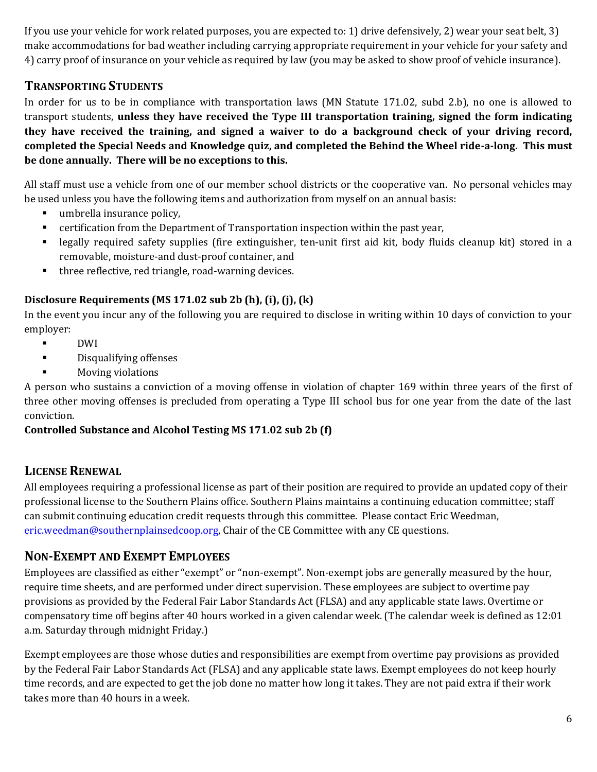If you use your vehicle for work related purposes, you are expected to: 1) drive defensively, 2) wear your seat belt, 3) make accommodations for bad weather including carrying appropriate requirement in your vehicle for your safety and 4) carry proof of insurance on your vehicle as required by law (you may be asked to show proof of vehicle insurance).

#### **TRANSPORTING STUDENTS**

In order for us to be in compliance with transportation laws (MN Statute 171.02, subd 2.b), no one is allowed to transport students, **unless they have received the Type III transportation training, signed the form indicating they have received the training, and signed a waiver to do a background check of your driving record, completed the Special Needs and Knowledge quiz, and completed the Behind the Wheel ride-a-long. This must be done annually. There will be no exceptions to this.**

All staff must use a vehicle from one of our member school districts or the cooperative van. No personal vehicles may be used unless you have the following items and authorization from myself on an annual basis:

- umbrella insurance policy,
- certification from the Department of Transportation inspection within the past year,
- legally required safety supplies (fire extinguisher, ten-unit first aid kit, body fluids cleanup kit) stored in a removable, moisture-and dust-proof container, and
- **three reflective, red triangle, road-warning devices.**

#### **Disclosure Requirements (MS 171.02 sub 2b (h), (i), (j), (k)**

In the event you incur any of the following you are required to disclose in writing within 10 days of conviction to your employer:

- DWI
- **Disqualifying offenses**
- **Moving violations**

A person who sustains a conviction of a moving offense in violation of chapter 169 within three years of the first of three other moving offenses is precluded from operating a Type III school bus for one year from the date of the last conviction.

#### **Controlled Substance and Alcohol Testing MS 171.02 sub 2b (f)**

#### **LICENSE RENEWAL**

All employees requiring a professional license as part of their position are required to provide an updated copy of their professional license to the Southern Plains office. Southern Plains maintains a continuing education committee; staff can submit continuing education credit requests through this committee. Please contact Eric Weedman, [eric.weedman@southernplainsedcoop.org,](mailto:eric.weedman@southernplainsedcoop.org) Chair of the CE Committee with any CE questions.

#### **NON-EXEMPT AND EXEMPT EMPLOYEES**

Employees are classified as either "exempt" or "non-exempt". Non-exempt jobs are generally measured by the hour, require time sheets, and are performed under direct supervision. These employees are subject to overtime pay provisions as provided by the Federal Fair Labor Standards Act (FLSA) and any applicable state laws. Overtime or compensatory time off begins after 40 hours worked in a given calendar week. (The calendar week is defined as 12:01 a.m. Saturday through midnight Friday.)

Exempt employees are those whose duties and responsibilities are exempt from overtime pay provisions as provided by the Federal Fair Labor Standards Act (FLSA) and any applicable state laws. Exempt employees do not keep hourly time records, and are expected to get the job done no matter how long it takes. They are not paid extra if their work takes more than 40 hours in a week.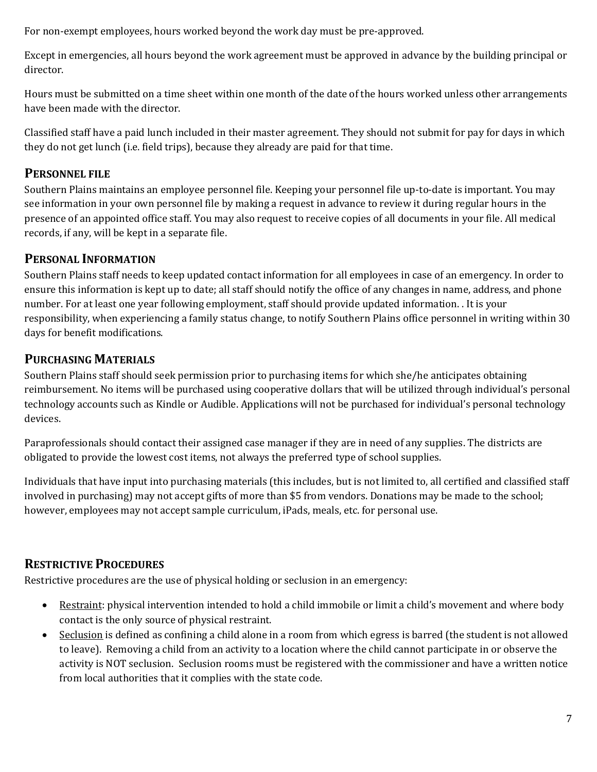For non-exempt employees, hours worked beyond the work day must be pre-approved.

Except in emergencies, all hours beyond the work agreement must be approved in advance by the building principal or director.

Hours must be submitted on a time sheet within one month of the date of the hours worked unless other arrangements have been made with the director.

Classified staff have a paid lunch included in their master agreement. They should not submit for pay for days in which they do not get lunch (i.e. field trips), because they already are paid for that time.

#### **PERSONNEL FILE**

Southern Plains maintains an employee personnel file. Keeping your personnel file up-to-date is important. You may see information in your own personnel file by making a request in advance to review it during regular hours in the presence of an appointed office staff. You may also request to receive copies of all documents in your file. All medical records, if any, will be kept in a separate file.

#### **PERSONAL INFORMATION**

Southern Plains staff needs to keep updated contact information for all employees in case of an emergency. In order to ensure this information is kept up to date; all staff should notify the office of any changes in name, address, and phone number. For at least one year following employment, staff should provide updated information. . It is your responsibility, when experiencing a family status change, to notify Southern Plains office personnel in writing within 30 days for benefit modifications.

#### **PURCHASING MATERIALS**

Southern Plains staff should seek permission prior to purchasing items for which she/he anticipates obtaining reimbursement. No items will be purchased using cooperative dollars that will be utilized through individual's personal technology accounts such as Kindle or Audible. Applications will not be purchased for individual's personal technology devices.

Paraprofessionals should contact their assigned case manager if they are in need of any supplies. The districts are obligated to provide the lowest cost items, not always the preferred type of school supplies.

Individuals that have input into purchasing materials (this includes, but is not limited to, all certified and classified staff involved in purchasing) may not accept gifts of more than \$5 from vendors. Donations may be made to the school; however, employees may not accept sample curriculum, iPads, meals, etc. for personal use.

#### **RESTRICTIVE PROCEDURES**

Restrictive procedures are the use of physical holding or seclusion in an emergency:

- Restraint: physical intervention intended to hold a child immobile or limit a child's movement and where body contact is the only source of physical restraint.
- Seclusion is defined as confining a child alone in a room from which egress is barred (the student is not allowed to leave). Removing a child from an activity to a location where the child cannot participate in or observe the activity is NOT seclusion. Seclusion rooms must be registered with the commissioner and have a written notice from local authorities that it complies with the state code.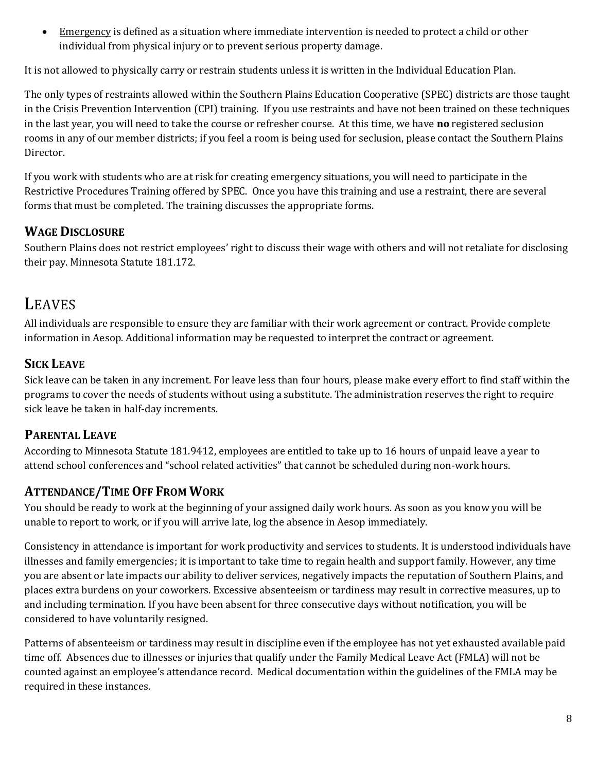**Emergency** is defined as a situation where immediate intervention is needed to protect a child or other individual from physical injury or to prevent serious property damage.

It is not allowed to physically carry or restrain students unless it is written in the Individual Education Plan.

The only types of restraints allowed within the Southern Plains Education Cooperative (SPEC) districts are those taught in the Crisis Prevention Intervention (CPI) training. If you use restraints and have not been trained on these techniques in the last year, you will need to take the course or refresher course. At this time, we have **no** registered seclusion rooms in any of our member districts; if you feel a room is being used for seclusion, please contact the Southern Plains Director.

If you work with students who are at risk for creating emergency situations, you will need to participate in the Restrictive Procedures Training offered by SPEC. Once you have this training and use a restraint, there are several forms that must be completed. The training discusses the appropriate forms.

#### **WAGE DISCLOSURE**

Southern Plains does not restrict employees' right to discuss their wage with others and will not retaliate for disclosing their pay. Minnesota Statute 181.172.

## LEAVES

All individuals are responsible to ensure they are familiar with their work agreement or contract. Provide complete information in Aesop. Additional information may be requested to interpret the contract or agreement.

## **SICK LEAVE**

Sick leave can be taken in any increment. For leave less than four hours, please make every effort to find staff within the programs to cover the needs of students without using a substitute. The administration reserves the right to require sick leave be taken in half-day increments.

#### **PARENTAL LEAVE**

According to Minnesota Statute 181.9412, employees are entitled to take up to 16 hours of unpaid leave a year to attend school conferences and "school related activities" that cannot be scheduled during non-work hours.

## **ATTENDANCE/TIME OFF FROM WORK**

You should be ready to work at the beginning of your assigned daily work hours. As soon as you know you will be unable to report to work, or if you will arrive late, log the absence in Aesop immediately.

Consistency in attendance is important for work productivity and services to students. It is understood individuals have illnesses and family emergencies; it is important to take time to regain health and support family. However, any time you are absent or late impacts our ability to deliver services, negatively impacts the reputation of Southern Plains, and places extra burdens on your coworkers. Excessive absenteeism or tardiness may result in corrective measures, up to and including termination. If you have been absent for three consecutive days without notification, you will be considered to have voluntarily resigned.

Patterns of absenteeism or tardiness may result in discipline even if the employee has not yet exhausted available paid time off. Absences due to illnesses or injuries that qualify under the Family Medical Leave Act (FMLA) will not be counted against an employee's attendance record. Medical documentation within the guidelines of the FMLA may be required in these instances.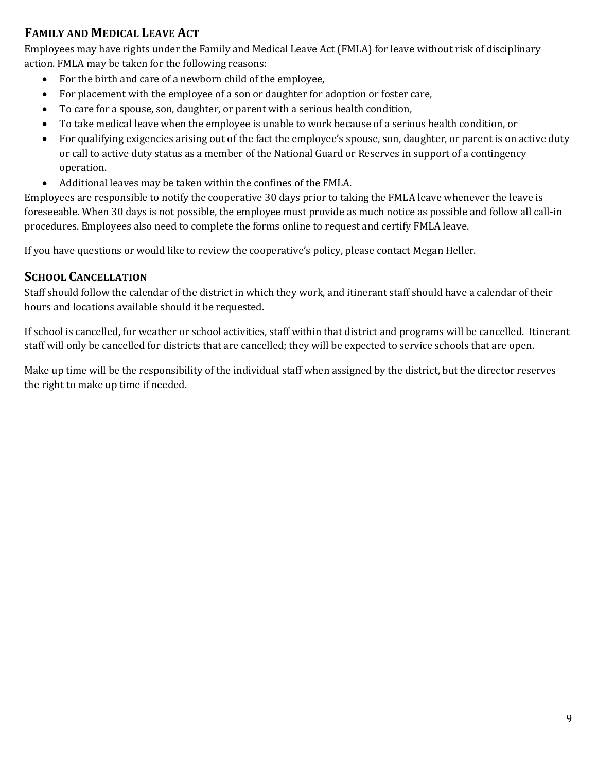#### **FAMILY AND MEDICAL LEAVE ACT**

Employees may have rights under the Family and Medical Leave Act (FMLA) for leave without risk of disciplinary action. FMLA may be taken for the following reasons:

- For the birth and care of a newborn child of the employee,
- For placement with the employee of a son or daughter for adoption or foster care,
- To care for a spouse, son, daughter, or parent with a serious health condition,
- To take medical leave when the employee is unable to work because of a serious health condition, or
- For qualifying exigencies arising out of the fact the employee's spouse, son, daughter, or parent is on active duty or call to active duty status as a member of the National Guard or Reserves in support of a contingency operation.
- Additional leaves may be taken within the confines of the FMLA.

Employees are responsible to notify the cooperative 30 days prior to taking the FMLA leave whenever the leave is foreseeable. When 30 days is not possible, the employee must provide as much notice as possible and follow all call-in procedures. Employees also need to complete the forms online to request and certify FMLA leave.

If you have questions or would like to review the cooperative's policy, please contact Megan Heller.

#### **SCHOOL CANCELLATION**

Staff should follow the calendar of the district in which they work, and itinerant staff should have a calendar of their hours and locations available should it be requested.

If school is cancelled, for weather or school activities, staff within that district and programs will be cancelled. Itinerant staff will only be cancelled for districts that are cancelled; they will be expected to service schools that are open.

Make up time will be the responsibility of the individual staff when assigned by the district, but the director reserves the right to make up time if needed.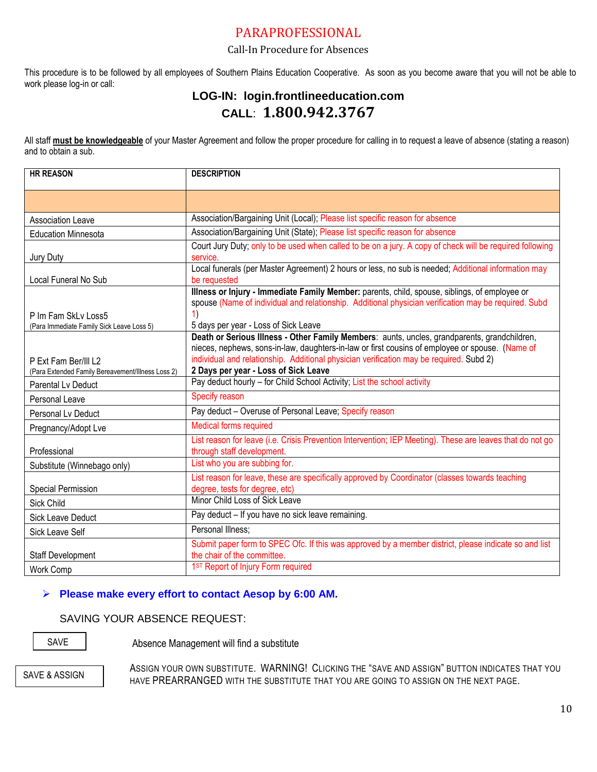#### PARAPROFESSIONAL

#### Call-In Procedure for Absences

This procedure is to be followed by all employees of Southern Plains Education Cooperative. As soon as you become aware that you will not be able to work please log-in or call:

#### **LOG-IN: login.frontlineeducation.com CALL**: **1.800.942.3767**

All staff **must be knowledgeable** of your Master Agreement and follow the proper procedure for calling in to request a leave of absence (stating a reason) and to obtain a sub.

| <b>HR REASON</b>                                                          | <b>DESCRIPTION</b>                                                                                                                                                                                                                                                                                                                 |
|---------------------------------------------------------------------------|------------------------------------------------------------------------------------------------------------------------------------------------------------------------------------------------------------------------------------------------------------------------------------------------------------------------------------|
|                                                                           |                                                                                                                                                                                                                                                                                                                                    |
| <b>Association Leave</b>                                                  | Association/Bargaining Unit (Local); Please list specific reason for absence                                                                                                                                                                                                                                                       |
| <b>Education Minnesota</b>                                                | Association/Bargaining Unit (State); Please list specific reason for absence                                                                                                                                                                                                                                                       |
| Jury Duty                                                                 | Court Jury Duty; only to be used when called to be on a jury. A copy of check will be required following<br>service.                                                                                                                                                                                                               |
| Local Funeral No Sub                                                      | Local funerals (per Master Agreement) 2 hours or less, no sub is needed; Additional information may<br>be requested                                                                                                                                                                                                                |
| P Im Fam SkLv Loss5<br>(Para Immediate Family Sick Leave Loss 5)          | Illness or Injury - Immediate Family Member: parents, child, spouse, siblings, of employee or<br>spouse (Name of individual and relationship. Additional physician verification may be required. Subd<br>1)<br>5 days per year - Loss of Sick Leave                                                                                |
| P Ext Fam Ber/III L2<br>(Para Extended Family Bereavement/Illness Loss 2) | Death or Serious Illness - Other Family Members: aunts, uncles, grandparents, grandchildren,<br>nieces, nephews, sons-in-law, daughters-in-law or first cousins of employee or spouse. (Name of<br>individual and relationship. Additional physician verification may be required. Subd 2)<br>2 Days per year - Loss of Sick Leave |
| <b>Parental Lv Deduct</b>                                                 | Pay deduct hourly - for Child School Activity; List the school activity                                                                                                                                                                                                                                                            |
| Personal Leave                                                            | Specify reason                                                                                                                                                                                                                                                                                                                     |
| Personal Ly Deduct                                                        | Pay deduct - Overuse of Personal Leave; Specify reason                                                                                                                                                                                                                                                                             |
| Pregnancy/Adopt Lve                                                       | Medical forms required                                                                                                                                                                                                                                                                                                             |
| Professional                                                              | List reason for leave (i.e. Crisis Prevention Intervention; IEP Meeting). These are leaves that do not go<br>through staff development.                                                                                                                                                                                            |
| Substitute (Winnebago only)                                               | List who you are subbing for.                                                                                                                                                                                                                                                                                                      |
| <b>Special Permission</b>                                                 | List reason for leave, these are specifically approved by Coordinator (classes towards teaching<br>degree, tests for degree, etc)                                                                                                                                                                                                  |
| Sick Child                                                                | Minor Child Loss of Sick Leave                                                                                                                                                                                                                                                                                                     |
| Sick Leave Deduct                                                         | Pay deduct - If you have no sick leave remaining.                                                                                                                                                                                                                                                                                  |
| <b>Sick Leave Self</b>                                                    | Personal Illness:                                                                                                                                                                                                                                                                                                                  |
| Staff Development                                                         | Submit paper form to SPEC Ofc. If this was approved by a member district, please indicate so and list<br>the chair of the committee.<br>1ST Report of Injury Form required                                                                                                                                                         |
| <b>Work Comp</b>                                                          |                                                                                                                                                                                                                                                                                                                                    |

#### **Please make every effort to contact Aesop by 6:00 AM.**

#### SAVING YOUR ABSENCE REQUEST:

SAVE

Absence Management will find a substitute

SAVE & ASSIGN

ASSIGN YOUR OWN SUBSTITUTE. WARNING! CLICKING THE "SAVE AND ASSIGN" BUTTON INDICATES THAT YOU HAVE PREARRANGED WITH THE SUBSTITUTE THAT YOU ARE GOING TO ASSIGN ON THE NEXT PAGE.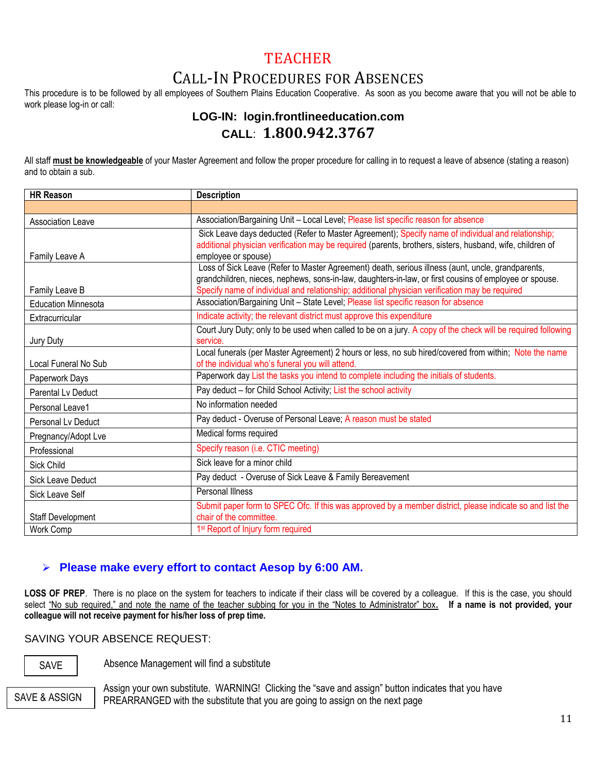## TEACHER

## CALL-IN PROCEDURES FOR ABSENCES

This procedure is to be followed by all employees of Southern Plains Education Cooperative. As soon as you become aware that you will not be able to work please log-in or call:

#### **LOG-IN: login.frontlineeducation.com CALL**: **1.800.942.3767**

All staff **must be knowledgeable** of your Master Agreement and follow the proper procedure for calling in to request a leave of absence (stating a reason) and to obtain a sub.

| <b>HR Reason</b>           | <b>Description</b>                                                                                                                                                                                              |  |  |
|----------------------------|-----------------------------------------------------------------------------------------------------------------------------------------------------------------------------------------------------------------|--|--|
|                            |                                                                                                                                                                                                                 |  |  |
| <b>Association Leave</b>   | Association/Bargaining Unit - Local Level; Please list specific reason for absence                                                                                                                              |  |  |
|                            | Sick Leave days deducted (Refer to Master Agreement); Specify name of individual and relationship;<br>additional physician verification may be required (parents, brothers, sisters, husband, wife, children of |  |  |
| Family Leave A             | employee or spouse)                                                                                                                                                                                             |  |  |
|                            | Loss of Sick Leave (Refer to Master Agreement) death, serious illness (aunt, uncle, grandparents,                                                                                                               |  |  |
| Family Leave B             | grandchildren, nieces, nephews, sons-in-law, daughters-in-law, or first cousins of employee or spouse.<br>Specify name of individual and relationship; additional physician verification may be required        |  |  |
| <b>Education Minnesota</b> | Association/Bargaining Unit - State Level; Please list specific reason for absence                                                                                                                              |  |  |
|                            | Indicate activity; the relevant district must approve this expenditure                                                                                                                                          |  |  |
| Extracurricular            |                                                                                                                                                                                                                 |  |  |
| Jury Duty                  | Court Jury Duty; only to be used when called to be on a jury. A copy of the check will be required following<br>service.                                                                                        |  |  |
|                            | Local funerals (per Master Agreement) 2 hours or less, no sub hired/covered from within; Note the name                                                                                                          |  |  |
| Local Funeral No Sub       | of the individual who's funeral you will attend.                                                                                                                                                                |  |  |
| Paperwork Days             | Paperwork day List the tasks you intend to complete including the initials of students.                                                                                                                         |  |  |
| Parental Ly Deduct         | Pay deduct - for Child School Activity; List the school activity                                                                                                                                                |  |  |
| Personal Leave1            | No information needed                                                                                                                                                                                           |  |  |
| Personal Ly Deduct         | Pay deduct - Overuse of Personal Leave; A reason must be stated                                                                                                                                                 |  |  |
| Pregnancy/Adopt Lve        | Medical forms required                                                                                                                                                                                          |  |  |
| Professional               | Specify reason (i.e. CTIC meeting)                                                                                                                                                                              |  |  |
| Sick Child                 | Sick leave for a minor child                                                                                                                                                                                    |  |  |
| <b>Sick Leave Deduct</b>   | Pay deduct - Overuse of Sick Leave & Family Bereavement                                                                                                                                                         |  |  |
| Sick Leave Self            | Personal Illness                                                                                                                                                                                                |  |  |
|                            | Submit paper form to SPEC Ofc. If this was approved by a member district, please indicate so and list the                                                                                                       |  |  |
| Staff Development          | chair of the committee.                                                                                                                                                                                         |  |  |
| Work Comp                  | 1 <sup>st</sup> Report of Injury form required                                                                                                                                                                  |  |  |

#### **Please make every effort to contact Aesop by 6:00 AM.**

LOSS OF PREP. There is no place on the system for teachers to indicate if their class will be covered by a colleague. If this is the case, you should select "No sub required," and note the name of the teacher subbing for you in the "Notes to Administrator" box**. If a name is not provided, your colleague will not receive payment for his/her loss of prep time.**

SAVING YOUR ABSENCE REQUEST:

SAVE

Absence Management will find a substitute

SAVE & ASSIGN

Assign your own substitute. WARNING! Clicking the "save and assign" button indicates that you have PREARRANGED with the substitute that you are going to assign on the next page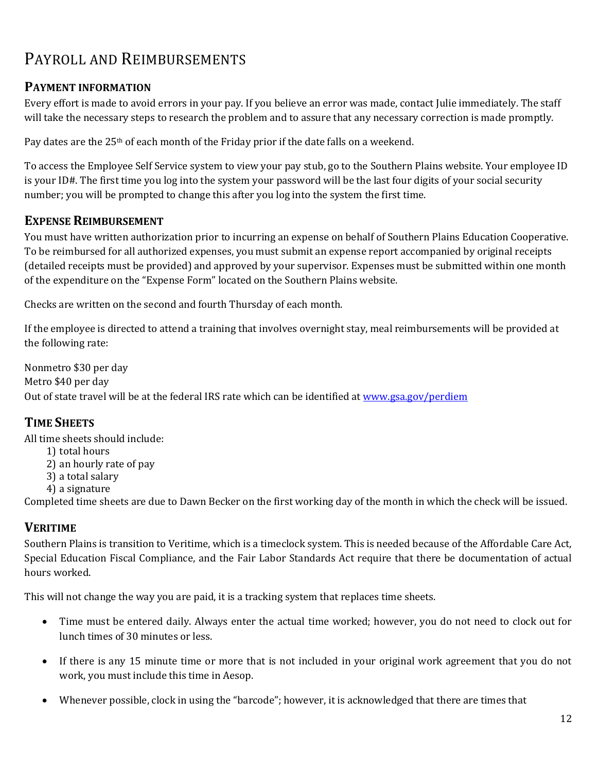# PAYROLL AND REIMBURSEMENTS

#### **PAYMENT INFORMATION**

Every effort is made to avoid errors in your pay. If you believe an error was made, contact Julie immediately. The staff will take the necessary steps to research the problem and to assure that any necessary correction is made promptly.

Pay dates are the  $25<sup>th</sup>$  of each month of the Friday prior if the date falls on a weekend.

To access the Employee Self Service system to view your pay stub, go to the Southern Plains website. Your employee ID is your ID#. The first time you log into the system your password will be the last four digits of your social security number; you will be prompted to change this after you log into the system the first time.

#### **EXPENSE REIMBURSEMENT**

You must have written authorization prior to incurring an expense on behalf of Southern Plains Education Cooperative. To be reimbursed for all authorized expenses, you must submit an expense report accompanied by original receipts (detailed receipts must be provided) and approved by your supervisor. Expenses must be submitted within one month of the expenditure on the "Expense Form" located on the Southern Plains website.

Checks are written on the second and fourth Thursday of each month.

If the employee is directed to attend a training that involves overnight stay, meal reimbursements will be provided at the following rate:

Nonmetro \$30 per day Metro \$40 per day Out of state travel will be at the federal IRS rate which can be identified a[t www.gsa.gov/perdiem](http://www.gsa.gov/perdiem)

#### **TIME SHEETS**

All time sheets should include:

- 1) total hours
- 2) an hourly rate of pay
- 3) a total salary
- 4) a signature

Completed time sheets are due to Dawn Becker on the first working day of the month in which the check will be issued.

#### **VERITIME**

Southern Plains is transition to Veritime, which is a timeclock system. This is needed because of the Affordable Care Act, Special Education Fiscal Compliance, and the Fair Labor Standards Act require that there be documentation of actual hours worked.

This will not change the way you are paid, it is a tracking system that replaces time sheets.

- Time must be entered daily. Always enter the actual time worked; however, you do not need to clock out for lunch times of 30 minutes or less.
- If there is any 15 minute time or more that is not included in your original work agreement that you do not work, you must include this time in Aesop.
- Whenever possible, clock in using the "barcode"; however, it is acknowledged that there are times that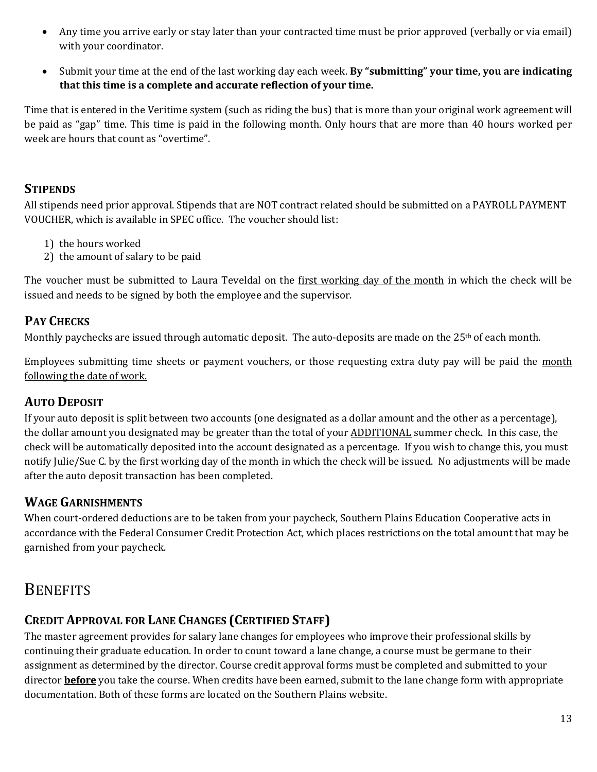- Any time you arrive early or stay later than your contracted time must be prior approved (verbally or via email) with your coordinator.
- Submit your time at the end of the last working day each week. **By "submitting" your time, you are indicating that this time is a complete and accurate reflection of your time.**

Time that is entered in the Veritime system (such as riding the bus) that is more than your original work agreement will be paid as "gap" time. This time is paid in the following month. Only hours that are more than 40 hours worked per week are hours that count as "overtime".

#### **STIPENDS**

All stipends need prior approval. Stipends that are NOT contract related should be submitted on a PAYROLL PAYMENT VOUCHER, which is available in SPEC office. The voucher should list:

- 1) the hours worked
- 2) the amount of salary to be paid

The voucher must be submitted to Laura Teveldal on the first working day of the month in which the check will be issued and needs to be signed by both the employee and the supervisor.

#### **PAY CHECKS**

Monthly paychecks are issued through automatic deposit. The auto-deposits are made on the 25<sup>th</sup> of each month.

Employees submitting time sheets or payment vouchers, or those requesting extra duty pay will be paid the month following the date of work.

#### **AUTO DEPOSIT**

If your auto deposit is split between two accounts (one designated as a dollar amount and the other as a percentage), the dollar amount you designated may be greater than the total of your ADDITIONAL summer check. In this case, the check will be automatically deposited into the account designated as a percentage. If you wish to change this, you must notify Julie/Sue C. by the first working day of the month in which the check will be issued. No adjustments will be made after the auto deposit transaction has been completed.

#### **WAGE GARNISHMENTS**

When court-ordered deductions are to be taken from your paycheck, Southern Plains Education Cooperative acts in accordance with the Federal Consumer Credit Protection Act, which places restrictions on the total amount that may be garnished from your paycheck.

# **BENEFITS**

## **CREDIT APPROVAL FOR LANE CHANGES (CERTIFIED STAFF)**

The master agreement provides for salary lane changes for employees who improve their professional skills by continuing their graduate education. In order to count toward a lane change, a course must be germane to their assignment as determined by the director. Course credit approval forms must be completed and submitted to your director **before** you take the course. When credits have been earned, submit to the lane change form with appropriate documentation. Both of these forms are located on the Southern Plains website.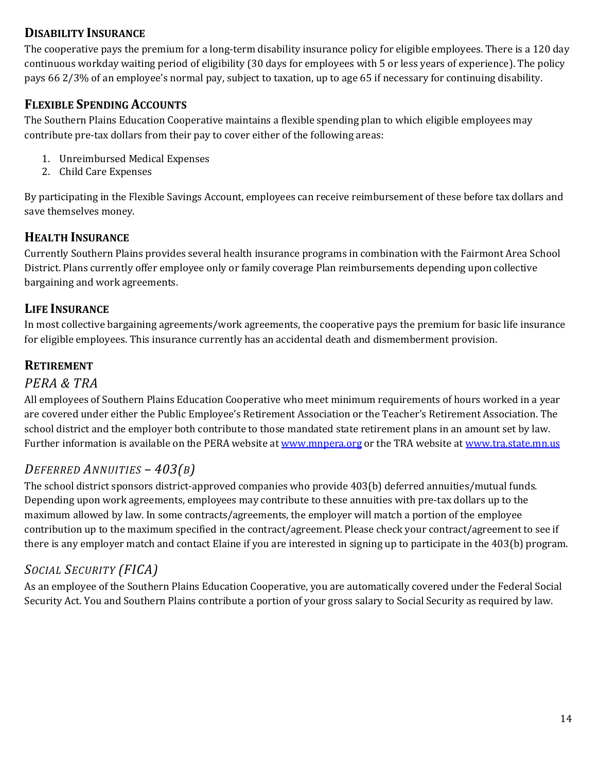#### **DISABILITY INSURANCE**

The cooperative pays the premium for a long-term disability insurance policy for eligible employees. There is a 120 day continuous workday waiting period of eligibility (30 days for employees with 5 or less years of experience). The policy pays 66 2/3% of an employee's normal pay, subject to taxation, up to age 65 if necessary for continuing disability.

## **FLEXIBLE SPENDING ACCOUNTS**

The Southern Plains Education Cooperative maintains a flexible spending plan to which eligible employees may contribute pre-tax dollars from their pay to cover either of the following areas:

- 1. Unreimbursed Medical Expenses
- 2. Child Care Expenses

By participating in the Flexible Savings Account, employees can receive reimbursement of these before tax dollars and save themselves money.

## **HEALTH INSURANCE**

Currently Southern Plains provides several health insurance programs in combination with the Fairmont Area School District. Plans currently offer employee only or family coverage Plan reimbursements depending upon collective bargaining and work agreements.

#### **LIFE INSURANCE**

In most collective bargaining agreements/work agreements, the cooperative pays the premium for basic life insurance for eligible employees. This insurance currently has an accidental death and dismemberment provision.

## **RETIREMENT**

#### *PERA & TRA*

All employees of Southern Plains Education Cooperative who meet minimum requirements of hours worked in a year are covered under either the Public Employee's Retirement Association or the Teacher's Retirement Association. The school district and the employer both contribute to those mandated state retirement plans in an amount set by law. Further information is available on the PERA website a[t www.mnpera.org](http://www.mnpera.org/) or the TRA website a[t www.tra.state.mn.us](http://www.tra.state.mn.us/)

#### *DEFERRED ANNUITIES – 403(B)*

The school district sponsors district-approved companies who provide 403(b) deferred annuities/mutual funds. Depending upon work agreements, employees may contribute to these annuities with pre-tax dollars up to the maximum allowed by law. In some contracts/agreements, the employer will match a portion of the employee contribution up to the maximum specified in the contract/agreement. Please check your contract/agreement to see if there is any employer match and contact Elaine if you are interested in signing up to participate in the 403(b) program.

## *SOCIAL SECURITY (FICA)*

As an employee of the Southern Plains Education Cooperative, you are automatically covered under the Federal Social Security Act. You and Southern Plains contribute a portion of your gross salary to Social Security as required by law.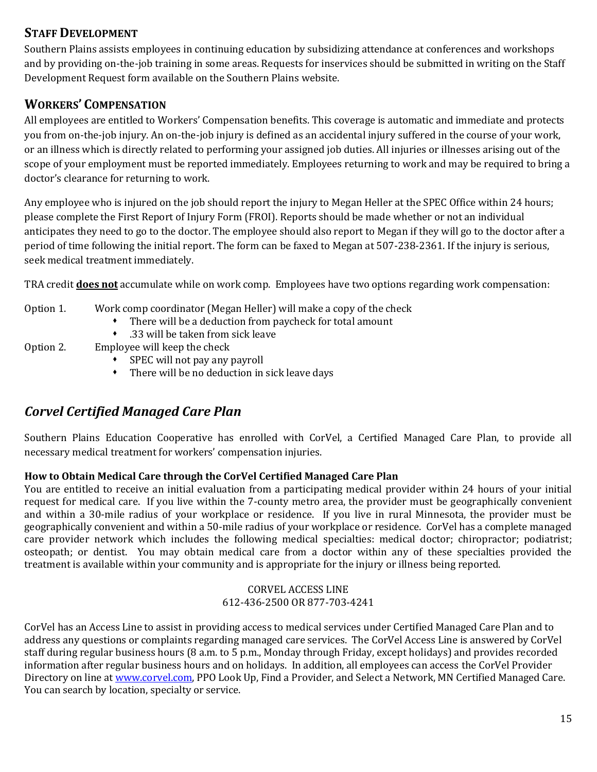#### **STAFF DEVELOPMENT**

Southern Plains assists employees in continuing education by subsidizing attendance at conferences and workshops and by providing on-the-job training in some areas. Requests for inservices should be submitted in writing on the Staff Development Request form available on the Southern Plains website.

## **WORKERS' COMPENSATION**

All employees are entitled to Workers' Compensation benefits. This coverage is automatic and immediate and protects you from on-the-job injury. An on-the-job injury is defined as an accidental injury suffered in the course of your work, or an illness which is directly related to performing your assigned job duties. All injuries or illnesses arising out of the scope of your employment must be reported immediately. Employees returning to work and may be required to bring a doctor's clearance for returning to work.

Any employee who is injured on the job should report the injury to Megan Heller at the SPEC Office within 24 hours; please complete the First Report of Injury Form (FROI). Reports should be made whether or not an individual anticipates they need to go to the doctor. The employee should also report to Megan if they will go to the doctor after a period of time following the initial report. The form can be faxed to Megan at 507-238-2361. If the injury is serious, seek medical treatment immediately.

TRA credit **does not** accumulate while on work comp. Employees have two options regarding work compensation:

#### Option 1. Work comp coordinator (Megan Heller) will make a copy of the check

- There will be a deduction from paycheck for total amount
- .33 will be taken from sick leave
- Option 2. Employee will keep the check
	- SPEC will not pay any payroll
	- There will be no deduction in sick leave days

## *Corvel Certified Managed Care Plan*

Southern Plains Education Cooperative has enrolled with CorVel, a Certified Managed Care Plan, to provide all necessary medical treatment for workers' compensation injuries.

#### **How to Obtain Medical Care through the CorVel Certified Managed Care Plan**

You are entitled to receive an initial evaluation from a participating medical provider within 24 hours of your initial request for medical care. If you live within the 7-county metro area, the provider must be geographically convenient and within a 30-mile radius of your workplace or residence. If you live in rural Minnesota, the provider must be geographically convenient and within a 50-mile radius of your workplace or residence. CorVel has a complete managed care provider network which includes the following medical specialties: medical doctor; chiropractor; podiatrist; osteopath; or dentist. You may obtain medical care from a doctor within any of these specialties provided the treatment is available within your community and is appropriate for the injury or illness being reported.

#### CORVEL ACCESS LINE 612-436-2500 OR 877-703-4241

CorVel has an Access Line to assist in providing access to medical services under Certified Managed Care Plan and to address any questions or complaints regarding managed care services. The CorVel Access Line is answered by CorVel staff during regular business hours (8 a.m. to 5 p.m., Monday through Friday, except holidays) and provides recorded information after regular business hours and on holidays. In addition, all employees can access the CorVel Provider Directory on line at [www.corvel.com,](http://www.corvel.com/) PPO Look Up, Find a Provider, and Select a Network, MN Certified Managed Care. You can search by location, specialty or service.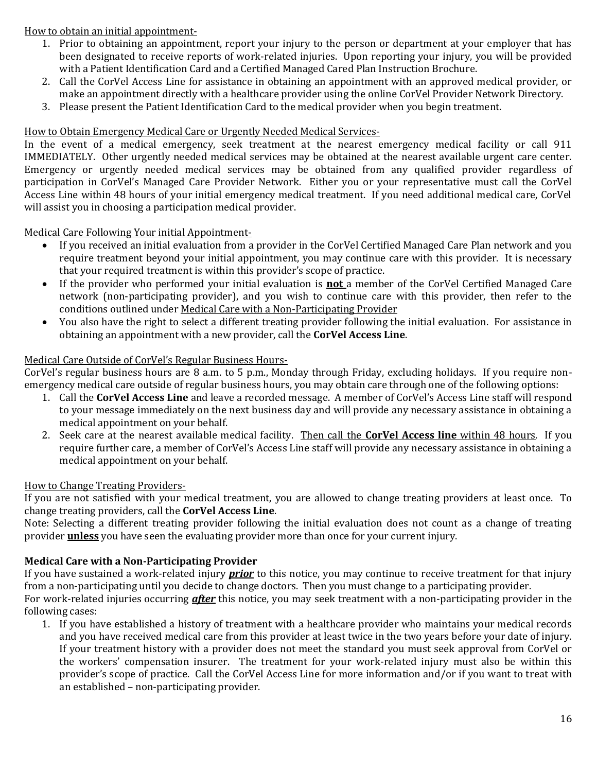How to obtain an initial appointment-

- 1. Prior to obtaining an appointment, report your injury to the person or department at your employer that has been designated to receive reports of work-related injuries. Upon reporting your injury, you will be provided with a Patient Identification Card and a Certified Managed Cared Plan Instruction Brochure.
- 2. Call the CorVel Access Line for assistance in obtaining an appointment with an approved medical provider, or make an appointment directly with a healthcare provider using the online CorVel Provider Network Directory.
- 3. Please present the Patient Identification Card to the medical provider when you begin treatment.

#### How to Obtain Emergency Medical Care or Urgently Needed Medical Services-

In the event of a medical emergency, seek treatment at the nearest emergency medical facility or call 911 IMMEDIATELY. Other urgently needed medical services may be obtained at the nearest available urgent care center. Emergency or urgently needed medical services may be obtained from any qualified provider regardless of participation in CorVel's Managed Care Provider Network. Either you or your representative must call the CorVel Access Line within 48 hours of your initial emergency medical treatment. If you need additional medical care, CorVel will assist you in choosing a participation medical provider.

#### Medical Care Following Your initial Appointment-

- If you received an initial evaluation from a provider in the CorVel Certified Managed Care Plan network and you require treatment beyond your initial appointment, you may continue care with this provider. It is necessary that your required treatment is within this provider's scope of practice.
- If the provider who performed your initial evaluation is **not** a member of the CorVel Certified Managed Care network (non-participating provider), and you wish to continue care with this provider, then refer to the conditions outlined under Medical Care with a Non-Participating Provider
- You also have the right to select a different treating provider following the initial evaluation. For assistance in obtaining an appointment with a new provider, call the **CorVel Access Line**.

#### Medical Care Outside of CorVel's Regular Business Hours-

CorVel's regular business hours are 8 a.m. to 5 p.m., Monday through Friday, excluding holidays. If you require nonemergency medical care outside of regular business hours, you may obtain care through one of the following options:

- 1. Call the **CorVel Access Line** and leave a recorded message. A member of CorVel's Access Line staff will respond to your message immediately on the next business day and will provide any necessary assistance in obtaining a medical appointment on your behalf.
- 2. Seek care at the nearest available medical facility. Then call the **CorVel Access line** within 48 hours. If you require further care, a member of CorVel's Access Line staff will provide any necessary assistance in obtaining a medical appointment on your behalf.

#### How to Change Treating Providers-

If you are not satisfied with your medical treatment, you are allowed to change treating providers at least once. To change treating providers, call the **CorVel Access Line**.

Note: Selecting a different treating provider following the initial evaluation does not count as a change of treating provider **unless** you have seen the evaluating provider more than once for your current injury.

#### **Medical Care with a Non-Participating Provider**

If you have sustained a work-related injury *prior* to this notice, you may continue to receive treatment for that injury from a non-participating until you decide to change doctors. Then you must change to a participating provider.

For work-related injuries occurring *after* this notice, you may seek treatment with a non-participating provider in the following cases:

1. If you have established a history of treatment with a healthcare provider who maintains your medical records and you have received medical care from this provider at least twice in the two years before your date of injury. If your treatment history with a provider does not meet the standard you must seek approval from CorVel or the workers' compensation insurer. The treatment for your work-related injury must also be within this provider's scope of practice. Call the CorVel Access Line for more information and/or if you want to treat with an established – non-participating provider.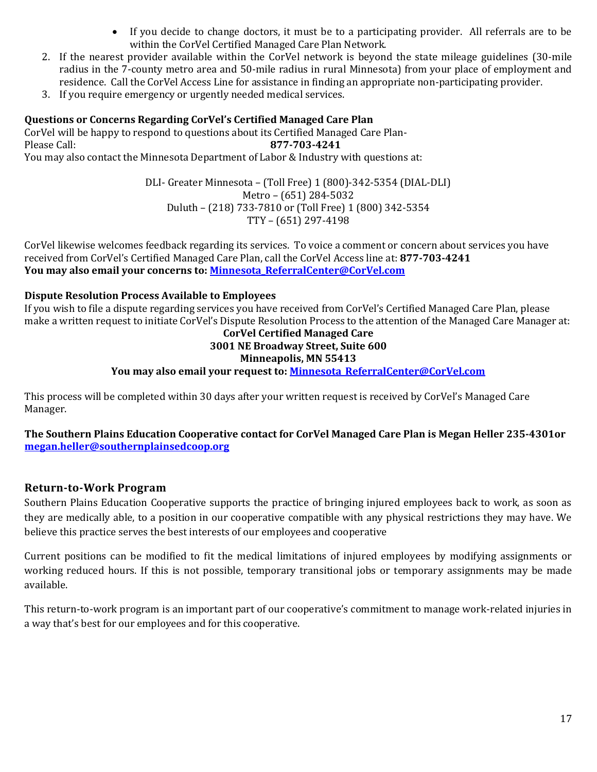- If you decide to change doctors, it must be to a participating provider. All referrals are to be within the CorVel Certified Managed Care Plan Network.
- 2. If the nearest provider available within the CorVel network is beyond the state mileage guidelines (30-mile radius in the 7-county metro area and 50-mile radius in rural Minnesota) from your place of employment and residence. Call the CorVel Access Line for assistance in finding an appropriate non-participating provider.
- 3. If you require emergency or urgently needed medical services.

#### **Questions or Concerns Regarding CorVel's Certified Managed Care Plan**

CorVel will be happy to respond to questions about its Certified Managed Care Plan-Please Call: **877-703-4241** You may also contact the Minnesota Department of Labor & Industry with questions at:

> DLI- Greater Minnesota – (Toll Free) 1 (800)-342-5354 (DIAL-DLI) Metro – (651) 284-5032 Duluth – (218) 733-7810 or (Toll Free) 1 (800) 342-5354 TTY – (651) 297-4198

CorVel likewise welcomes feedback regarding its services. To voice a comment or concern about services you have received from CorVel's Certified Managed Care Plan, call the CorVel Access line at: **877-703-4241 You may also email your concerns to: [Minnesota\\_ReferralCenter@CorVel.com](mailto:Minnesota_ReferralCenter@CorVel.com)**

#### **Dispute Resolution Process Available to Employees**

If you wish to file a dispute regarding services you have received from CorVel's Certified Managed Care Plan, please make a written request to initiate CorVel's Dispute Resolution Process to the attention of the Managed Care Manager at:

#### **CorVel Certified Managed Care 3001 NE Broadway Street, Suite 600**

#### **Minneapolis, MN 55413**

#### **You may also email your request to: [Minnesota\\_ReferralCenter@CorVel.com](mailto:Minnesota_ReferralCenter@CorVel.com)**

This process will be completed within 30 days after your written request is received by CorVel's Managed Care Manager.

**The Southern Plains Education Cooperative contact for CorVel Managed Care Plan is Megan Heller 235-4301or [megan.heller@southernplainsedcoop.org](mailto:megan.heller@southernplainsedcoop.org)**

#### **Return-to-Work Program**

Southern Plains Education Cooperative supports the practice of bringing injured employees back to work, as soon as they are medically able, to a position in our cooperative compatible with any physical restrictions they may have. We believe this practice serves the best interests of our employees and cooperative

Current positions can be modified to fit the medical limitations of injured employees by modifying assignments or working reduced hours. If this is not possible, temporary transitional jobs or temporary assignments may be made available.

This return-to-work program is an important part of our cooperative's commitment to manage work-related injuries in a way that's best for our employees and for this cooperative.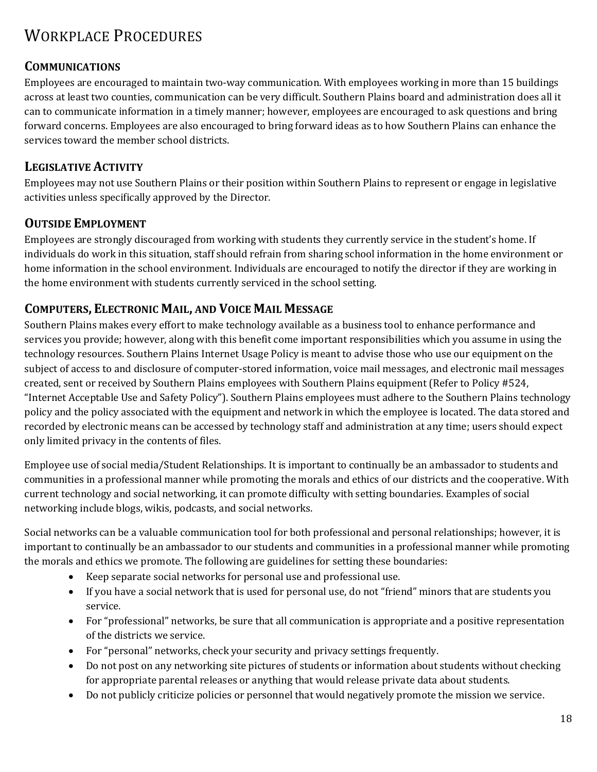# WORKPLACE PROCEDURES

#### **COMMUNICATIONS**

Employees are encouraged to maintain two-way communication. With employees working in more than 15 buildings across at least two counties, communication can be very difficult. Southern Plains board and administration does all it can to communicate information in a timely manner; however, employees are encouraged to ask questions and bring forward concerns. Employees are also encouraged to bring forward ideas as to how Southern Plains can enhance the services toward the member school districts.

#### **LEGISLATIVE ACTIVITY**

Employees may not use Southern Plains or their position within Southern Plains to represent or engage in legislative activities unless specifically approved by the Director.

#### **OUTSIDE EMPLOYMENT**

Employees are strongly discouraged from working with students they currently service in the student's home. If individuals do work in this situation, staff should refrain from sharing school information in the home environment or home information in the school environment. Individuals are encouraged to notify the director if they are working in the home environment with students currently serviced in the school setting.

#### **COMPUTERS, ELECTRONIC MAIL, AND VOICE MAIL MESSAGE**

Southern Plains makes every effort to make technology available as a business tool to enhance performance and services you provide; however, along with this benefit come important responsibilities which you assume in using the technology resources. Southern Plains Internet Usage Policy is meant to advise those who use our equipment on the subject of access to and disclosure of computer-stored information, voice mail messages, and electronic mail messages created, sent or received by Southern Plains employees with Southern Plains equipment (Refer to Policy #524, "Internet Acceptable Use and Safety Policy"). Southern Plains employees must adhere to the Southern Plains technology policy and the policy associated with the equipment and network in which the employee is located. The data stored and recorded by electronic means can be accessed by technology staff and administration at any time; users should expect only limited privacy in the contents of files.

Employee use of social media/Student Relationships. It is important to continually be an ambassador to students and communities in a professional manner while promoting the morals and ethics of our districts and the cooperative. With current technology and social networking, it can promote difficulty with setting boundaries. Examples of social networking include blogs, wikis, podcasts, and social networks.

Social networks can be a valuable communication tool for both professional and personal relationships; however, it is important to continually be an ambassador to our students and communities in a professional manner while promoting the morals and ethics we promote. The following are guidelines for setting these boundaries:

- Keep separate social networks for personal use and professional use.
- If you have a social network that is used for personal use, do not "friend" minors that are students you service.
- For "professional" networks, be sure that all communication is appropriate and a positive representation of the districts we service.
- For "personal" networks, check your security and privacy settings frequently.
- Do not post on any networking site pictures of students or information about students without checking for appropriate parental releases or anything that would release private data about students.
- Do not publicly criticize policies or personnel that would negatively promote the mission we service.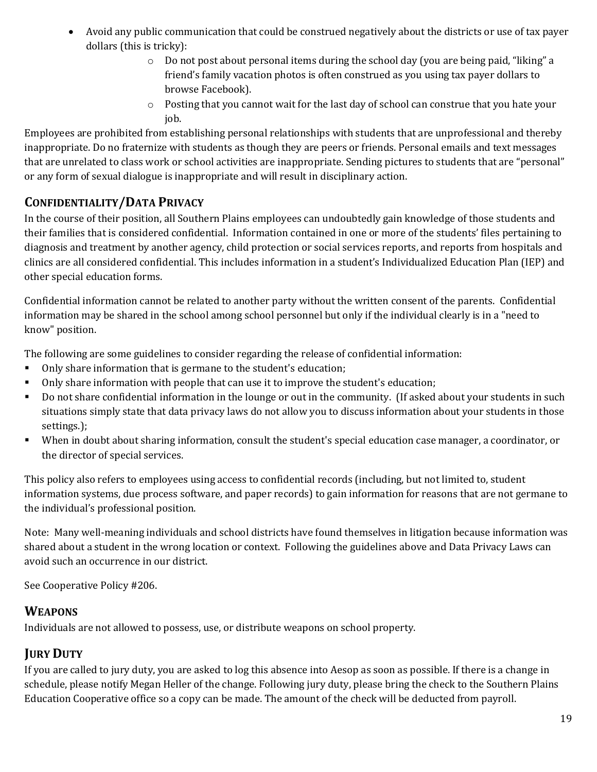- Avoid any public communication that could be construed negatively about the districts or use of tax payer dollars (this is tricky):
	- $\circ$  Do not post about personal items during the school day (you are being paid, "liking" a friend's family vacation photos is often construed as you using tax payer dollars to browse Facebook).
	- o Posting that you cannot wait for the last day of school can construe that you hate your job.

Employees are prohibited from establishing personal relationships with students that are unprofessional and thereby inappropriate. Do no fraternize with students as though they are peers or friends. Personal emails and text messages that are unrelated to class work or school activities are inappropriate. Sending pictures to students that are "personal" or any form of sexual dialogue is inappropriate and will result in disciplinary action.

## **CONFIDENTIALITY/DATA PRIVACY**

In the course of their position, all Southern Plains employees can undoubtedly gain knowledge of those students and their families that is considered confidential. Information contained in one or more of the students' files pertaining to diagnosis and treatment by another agency, child protection or social services reports, and reports from hospitals and clinics are all considered confidential. This includes information in a student's Individualized Education Plan (IEP) and other special education forms.

Confidential information cannot be related to another party without the written consent of the parents. Confidential information may be shared in the school among school personnel but only if the individual clearly is in a "need to know" position.

The following are some guidelines to consider regarding the release of confidential information:

- Only share information that is germane to the student's education;
- Only share information with people that can use it to improve the student's education;
- Do not share confidential information in the lounge or out in the community. (If asked about your students in such situations simply state that data privacy laws do not allow you to discuss information about your students in those settings.);
- When in doubt about sharing information, consult the student's special education case manager, a coordinator, or the director of special services.

This policy also refers to employees using access to confidential records (including, but not limited to, student information systems, due process software, and paper records) to gain information for reasons that are not germane to the individual's professional position.

Note: Many well-meaning individuals and school districts have found themselves in litigation because information was shared about a student in the wrong location or context. Following the guidelines above and Data Privacy Laws can avoid such an occurrence in our district.

See Cooperative Policy #206.

#### **WEAPONS**

Individuals are not allowed to possess, use, or distribute weapons on school property.

## **JURY DUTY**

If you are called to jury duty, you are asked to log this absence into Aesop as soon as possible. If there is a change in schedule, please notify Megan Heller of the change. Following jury duty, please bring the check to the Southern Plains Education Cooperative office so a copy can be made. The amount of the check will be deducted from payroll.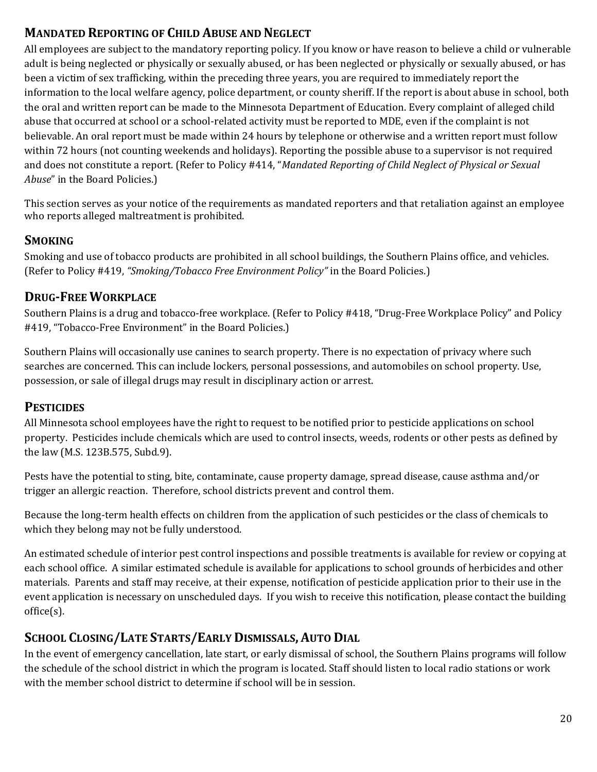## **MANDATED REPORTING OF CHILD ABUSE AND NEGLECT**

All employees are subject to the mandatory reporting policy. If you know or have reason to believe a child or vulnerable adult is being neglected or physically or sexually abused, or has been neglected or physically or sexually abused, or has been a victim of sex trafficking, within the preceding three years, you are required to immediately report the information to the local welfare agency, police department, or county sheriff. If the report is about abuse in school, both the oral and written report can be made to the Minnesota Department of Education. Every complaint of alleged child abuse that occurred at school or a school-related activity must be reported to MDE, even if the complaint is not believable. An oral report must be made within 24 hours by telephone or otherwise and a written report must follow within 72 hours (not counting weekends and holidays). Reporting the possible abuse to a supervisor is not required and does not constitute a report. (Refer to Policy #414, "*Mandated Reporting of Child Neglect of Physical or Sexual Abuse*" in the Board Policies.)

This section serves as your notice of the requirements as mandated reporters and that retaliation against an employee who reports alleged maltreatment is prohibited.

#### **SMOKING**

Smoking and use of tobacco products are prohibited in all school buildings, the Southern Plains office, and vehicles. (Refer to Policy #419, *"Smoking/Tobacco Free Environment Policy"* in the Board Policies.)

#### **DRUG-FREE WORKPLACE**

Southern Plains is a drug and tobacco-free workplace. (Refer to Policy #418, "Drug-Free Workplace Policy" and Policy #419, "Tobacco-Free Environment" in the Board Policies.)

Southern Plains will occasionally use canines to search property. There is no expectation of privacy where such searches are concerned. This can include lockers, personal possessions, and automobiles on school property. Use, possession, or sale of illegal drugs may result in disciplinary action or arrest.

#### **PESTICIDES**

All Minnesota school employees have the right to request to be notified prior to pesticide applications on school property. Pesticides include chemicals which are used to control insects, weeds, rodents or other pests as defined by the law (M.S. 123B.575, Subd.9).

Pests have the potential to sting, bite, contaminate, cause property damage, spread disease, cause asthma and/or trigger an allergic reaction. Therefore, school districts prevent and control them.

Because the long-term health effects on children from the application of such pesticides or the class of chemicals to which they belong may not be fully understood.

An estimated schedule of interior pest control inspections and possible treatments is available for review or copying at each school office. A similar estimated schedule is available for applications to school grounds of herbicides and other materials. Parents and staff may receive, at their expense, notification of pesticide application prior to their use in the event application is necessary on unscheduled days. If you wish to receive this notification, please contact the building office(s).

#### **SCHOOL CLOSING/LATE STARTS/EARLY DISMISSALS, AUTO DIAL**

In the event of emergency cancellation, late start, or early dismissal of school, the Southern Plains programs will follow the schedule of the school district in which the program is located. Staff should listen to local radio stations or work with the member school district to determine if school will be in session.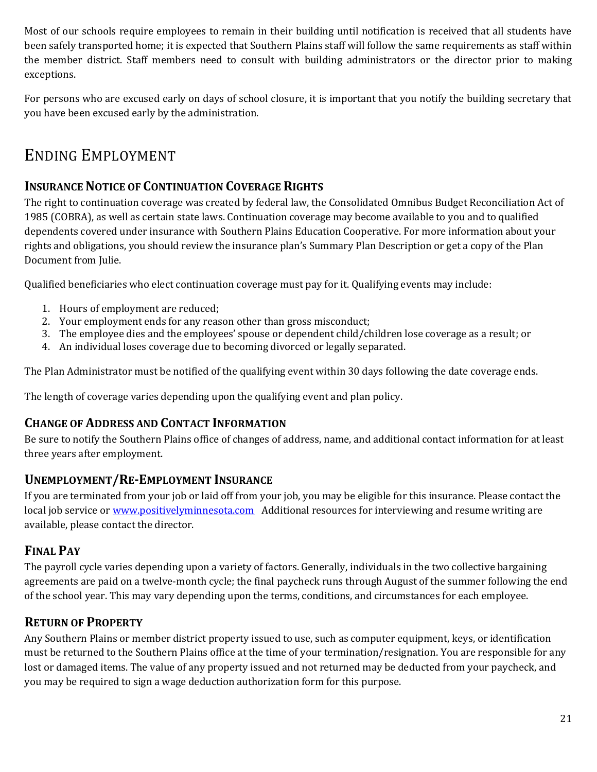Most of our schools require employees to remain in their building until notification is received that all students have been safely transported home; it is expected that Southern Plains staff will follow the same requirements as staff within the member district. Staff members need to consult with building administrators or the director prior to making exceptions.

For persons who are excused early on days of school closure, it is important that you notify the building secretary that you have been excused early by the administration.

# ENDING EMPLOYMENT

## **INSURANCE NOTICE OF CONTINUATION COVERAGE RIGHTS**

The right to continuation coverage was created by federal law, the Consolidated Omnibus Budget Reconciliation Act of 1985 (COBRA), as well as certain state laws. Continuation coverage may become available to you and to qualified dependents covered under insurance with Southern Plains Education Cooperative. For more information about your rights and obligations, you should review the insurance plan's Summary Plan Description or get a copy of the Plan Document from Julie.

Qualified beneficiaries who elect continuation coverage must pay for it. Qualifying events may include:

- 1. Hours of employment are reduced;
- 2. Your employment ends for any reason other than gross misconduct;
- 3. The employee dies and the employees' spouse or dependent child/children lose coverage as a result; or
- 4. An individual loses coverage due to becoming divorced or legally separated.

The Plan Administrator must be notified of the qualifying event within 30 days following the date coverage ends.

The length of coverage varies depending upon the qualifying event and plan policy.

## **CHANGE OF ADDRESS AND CONTACT INFORMATION**

Be sure to notify the Southern Plains office of changes of address, name, and additional contact information for at least three years after employment.

## **UNEMPLOYMENT/RE-EMPLOYMENT INSURANCE**

If you are terminated from your job or laid off from your job, you may be eligible for this insurance. Please contact the local job service o[r www.positivelyminnesota.com](http://www.positivelyminnesota.com/) Additional resources for interviewing and resume writing are available, please contact the director.

## **FINAL PAY**

The payroll cycle varies depending upon a variety of factors. Generally, individuals in the two collective bargaining agreements are paid on a twelve-month cycle; the final paycheck runs through August of the summer following the end of the school year. This may vary depending upon the terms, conditions, and circumstances for each employee.

## **RETURN OF PROPERTY**

Any Southern Plains or member district property issued to use, such as computer equipment, keys, or identification must be returned to the Southern Plains office at the time of your termination/resignation. You are responsible for any lost or damaged items. The value of any property issued and not returned may be deducted from your paycheck, and you may be required to sign a wage deduction authorization form for this purpose.